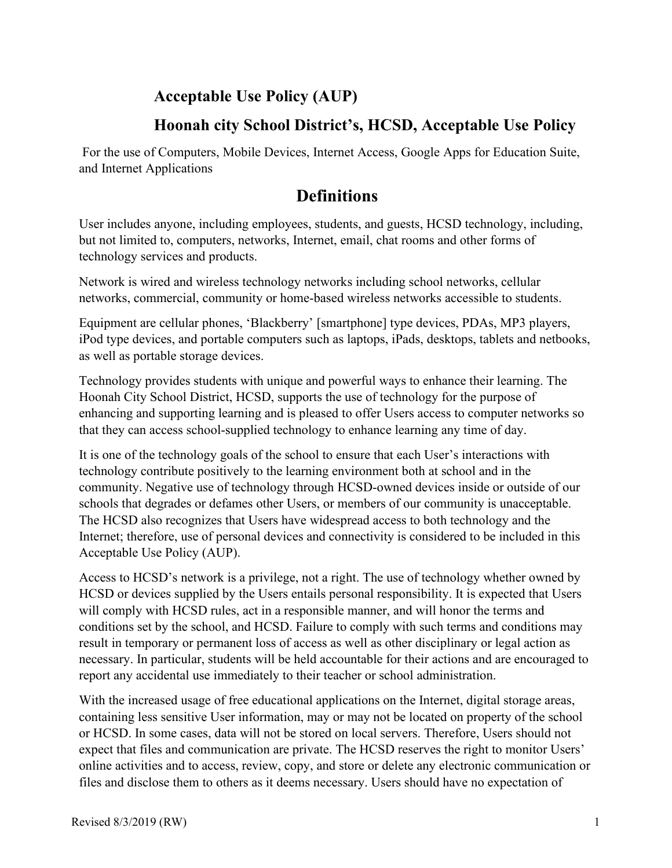### **Acceptable Use Policy (AUP)**

### **Hoonah city School District's, HCSD, Acceptable Use Policy**

For the use of Computers, Mobile Devices, Internet Access, Google Apps for Education Suite, and Internet Applications

# **Definitions**

User includes anyone, including employees, students, and guests, HCSD technology, including, but not limited to, computers, networks, Internet, email, chat rooms and other forms of technology services and products.

Network is wired and wireless technology networks including school networks, cellular networks, commercial, community or home-based wireless networks accessible to students.

Equipment are cellular phones, 'Blackberry' [smartphone] type devices, PDAs, MP3 players, iPod type devices, and portable computers such as laptops, iPads, desktops, tablets and netbooks, as well as portable storage devices.

Technology provides students with unique and powerful ways to enhance their learning. The Hoonah City School District, HCSD, supports the use of technology for the purpose of enhancing and supporting learning and is pleased to offer Users access to computer networks so that they can access school-supplied technology to enhance learning any time of day.

It is one of the technology goals of the school to ensure that each User's interactions with technology contribute positively to the learning environment both at school and in the community. Negative use of technology through HCSD-owned devices inside or outside of our schools that degrades or defames other Users, or members of our community is unacceptable. The HCSD also recognizes that Users have widespread access to both technology and the Internet; therefore, use of personal devices and connectivity is considered to be included in this Acceptable Use Policy (AUP).

Access to HCSD's network is a privilege, not a right. The use of technology whether owned by HCSD or devices supplied by the Users entails personal responsibility. It is expected that Users will comply with HCSD rules, act in a responsible manner, and will honor the terms and conditions set by the school, and HCSD. Failure to comply with such terms and conditions may result in temporary or permanent loss of access as well as other disciplinary or legal action as necessary. In particular, students will be held accountable for their actions and are encouraged to report any accidental use immediately to their teacher or school administration.

With the increased usage of free educational applications on the Internet, digital storage areas, containing less sensitive User information, may or may not be located on property of the school or HCSD. In some cases, data will not be stored on local servers. Therefore, Users should not expect that files and communication are private. The HCSD reserves the right to monitor Users' online activities and to access, review, copy, and store or delete any electronic communication or files and disclose them to others as it deems necessary. Users should have no expectation of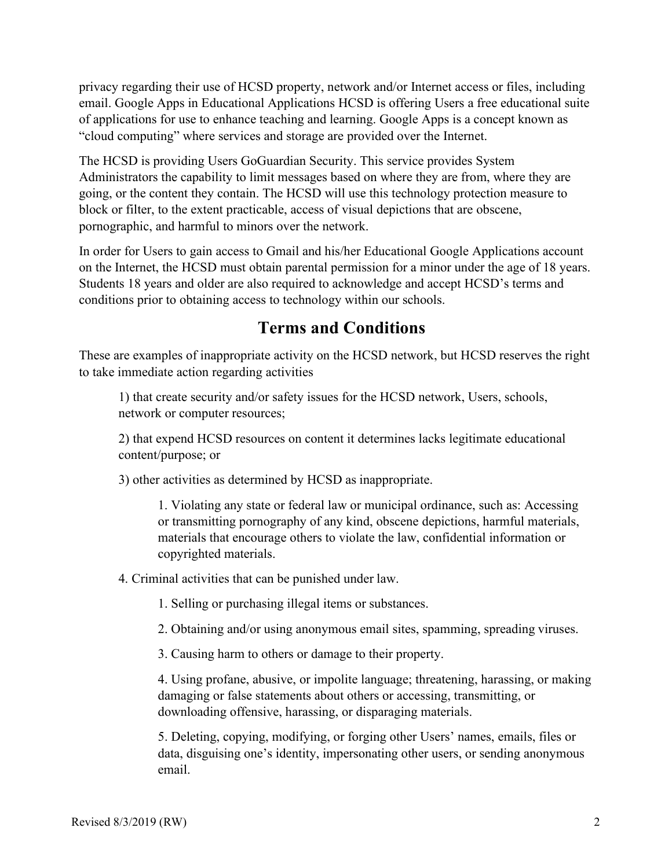privacy regarding their use of HCSD property, network and/or Internet access or files, including email. Google Apps in Educational Applications HCSD is offering Users a free educational suite of applications for use to enhance teaching and learning. Google Apps is a concept known as "cloud computing" where services and storage are provided over the Internet.

The HCSD is providing Users GoGuardian Security. This service provides System Administrators the capability to limit messages based on where they are from, where they are going, or the content they contain. The HCSD will use this technology protection measure to block or filter, to the extent practicable, access of visual depictions that are obscene, pornographic, and harmful to minors over the network.

In order for Users to gain access to Gmail and his/her Educational Google Applications account on the Internet, the HCSD must obtain parental permission for a minor under the age of 18 years. Students 18 years and older are also required to acknowledge and accept HCSD's terms and conditions prior to obtaining access to technology within our schools.

# **Terms and Conditions**

These are examples of inappropriate activity on the HCSD network, but HCSD reserves the right to take immediate action regarding activities

1) that create security and/or safety issues for the HCSD network, Users, schools, network or computer resources;

2) that expend HCSD resources on content it determines lacks legitimate educational content/purpose; or

3) other activities as determined by HCSD as inappropriate.

1. Violating any state or federal law or municipal ordinance, such as: Accessing or transmitting pornography of any kind, obscene depictions, harmful materials, materials that encourage others to violate the law, confidential information or copyrighted materials.

4. Criminal activities that can be punished under law.

1. Selling or purchasing illegal items or substances.

2. Obtaining and/or using anonymous email sites, spamming, spreading viruses.

3. Causing harm to others or damage to their property.

4. Using profane, abusive, or impolite language; threatening, harassing, or making damaging or false statements about others or accessing, transmitting, or downloading offensive, harassing, or disparaging materials.

5. Deleting, copying, modifying, or forging other Users' names, emails, files or data, disguising one's identity, impersonating other users, or sending anonymous email.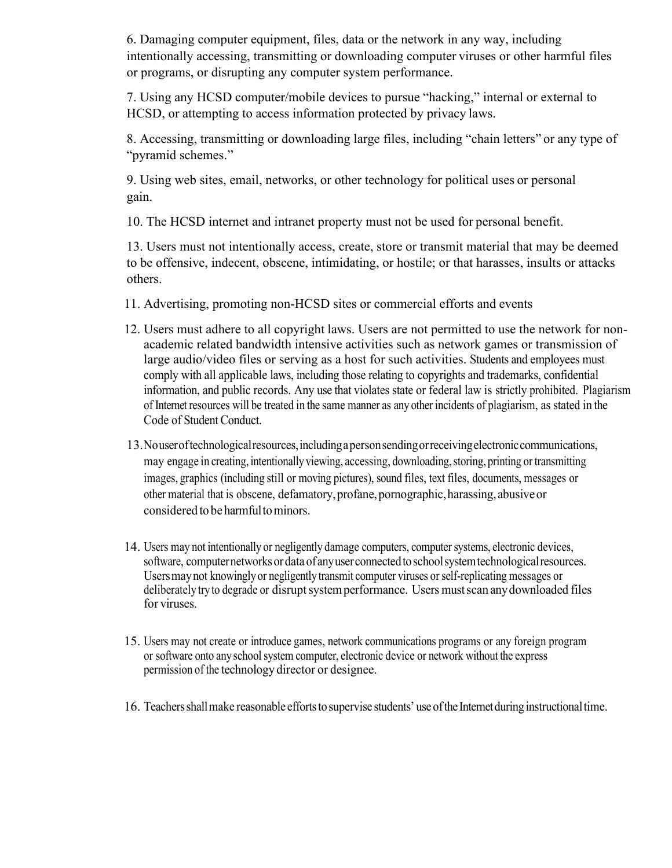6. Damaging computer equipment, files, data or the network in any way, including intentionally accessing, transmitting or downloading computer viruses or other harmful files or programs, or disrupting any computer system performance.

7. Using any HCSD computer/mobile devices to pursue "hacking," internal or external to HCSD, or attempting to access information protected by privacy laws.

8. Accessing, transmitting or downloading large files, including "chain letters" or any type of "pyramid schemes."

9. Using web sites, email, networks, or other technology for political uses or personal gain.

10. The HCSD internet and intranet property must not be used for personal benefit.

13. Users must not intentionally access, create, store or transmit material that may be deemed to be offensive, indecent, obscene, intimidating, or hostile; or that harasses, insults or attacks others.

- 11. Advertising, promoting non-HCSD sites or commercial efforts and events
- 12. Users must adhere to all copyright laws. Users are not permitted to use the network for nonacademic related bandwidth intensive activities such as network games or transmission of large audio/video files or serving as a host for such activities. Students and employees must comply with all applicable laws, including those relating to copyrights and trademarks, confidential information, and public records. Any use that violates state or federal law is strictly prohibited. Plagiarism of Internet resources will be treated in the same manner as any other incidents of plagiarism, as stated in the Code of Student Conduct.
- 13.Nouseroftechnologicalresources,includingapersonsendingorreceivingelectroniccommunications, may engage in creating, intentionally viewing, accessing, downloading, storing, printing or transmitting images, graphics (including still or moving pictures), sound files, text files, documents, messages or other material that is obscene, defamatory,profane,pornographic,harassing, abusiveor considered to be harmfultominors.
- 14. Users may not intentionally or negligently damage computers, computersystems, electronic devices, software, computernetworksordata of anyuserconnectedtoschoolsystemtechnologicalresources. Usersmaynot knowingly or negligently transmit computer viruses orself-replicating messages or deliberately try to degrade or disrupt system performance. Users must scan any downloaded files for viruses.
- 15. Users may not create or introduce games, network communications programs or any foreign program or software onto any school system computer, electronic device or network without the express permission of the technology director or designee.
- 16. Teachersshallmake reasonable effortsto supervise students' useofthe Internetduring instructionaltime.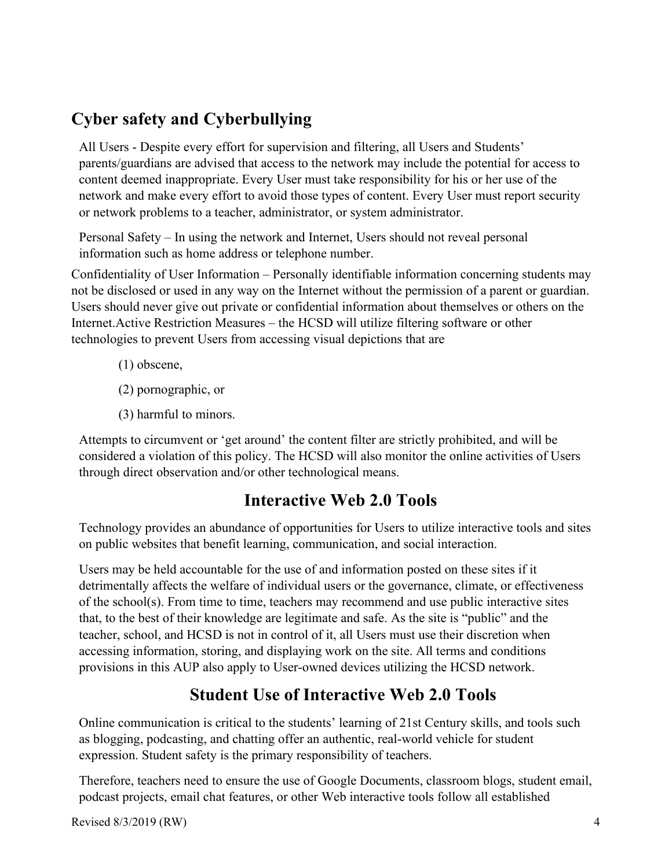# **Cyber safety and Cyberbullying**

All Users - Despite every effort for supervision and filtering, all Users and Students' parents/guardians are advised that access to the network may include the potential for access to content deemed inappropriate. Every User must take responsibility for his or her use of the network and make every effort to avoid those types of content. Every User must report security or network problems to a teacher, administrator, or system administrator.

Personal Safety – In using the network and Internet, Users should not reveal personal information such as home address or telephone number.

Confidentiality of User Information – Personally identifiable information concerning students may not be disclosed or used in any way on the Internet without the permission of a parent or guardian. Users should never give out private or confidential information about themselves or others on the Internet.Active Restriction Measures – the HCSD will utilize filtering software or other technologies to prevent Users from accessing visual depictions that are

- (1) obscene,
- (2) pornographic, or
- (3) harmful to minors.

Attempts to circumvent or 'get around' the content filter are strictly prohibited, and will be considered a violation of this policy. The HCSD will also monitor the online activities of Users through direct observation and/or other technological means.

### **Interactive Web 2.0 Tools**

Technology provides an abundance of opportunities for Users to utilize interactive tools and sites on public websites that benefit learning, communication, and social interaction.

Users may be held accountable for the use of and information posted on these sites if it detrimentally affects the welfare of individual users or the governance, climate, or effectiveness of the school(s). From time to time, teachers may recommend and use public interactive sites that, to the best of their knowledge are legitimate and safe. As the site is "public" and the teacher, school, and HCSD is not in control of it, all Users must use their discretion when accessing information, storing, and displaying work on the site. All terms and conditions provisions in this AUP also apply to User-owned devices utilizing the HCSD network.

# **Student Use of Interactive Web 2.0 Tools**

Online communication is critical to the students' learning of 21st Century skills, and tools such as blogging, podcasting, and chatting offer an authentic, real-world vehicle for student expression. Student safety is the primary responsibility of teachers.

Therefore, teachers need to ensure the use of Google Documents, classroom blogs, student email, podcast projects, email chat features, or other Web interactive tools follow all established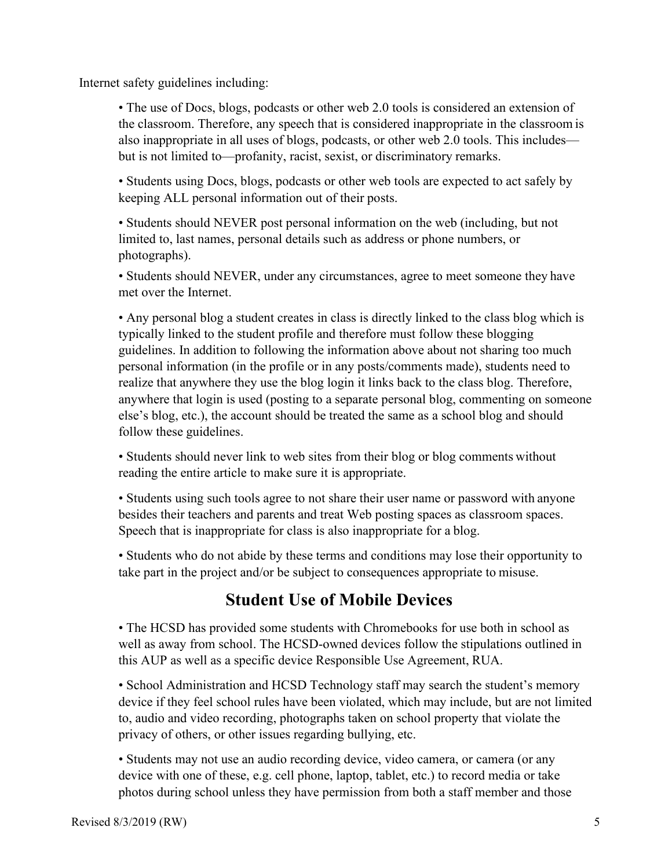Internet safety guidelines including:

• The use of Docs, blogs, podcasts or other web 2.0 tools is considered an extension of the classroom. Therefore, any speech that is considered inappropriate in the classroom is also inappropriate in all uses of blogs, podcasts, or other web 2.0 tools. This includes but is not limited to—profanity, racist, sexist, or discriminatory remarks.

• Students using Docs, blogs, podcasts or other web tools are expected to act safely by keeping ALL personal information out of their posts.

• Students should NEVER post personal information on the web (including, but not limited to, last names, personal details such as address or phone numbers, or photographs).

• Students should NEVER, under any circumstances, agree to meet someone they have met over the Internet.

• Any personal blog a student creates in class is directly linked to the class blog which is typically linked to the student profile and therefore must follow these blogging guidelines. In addition to following the information above about not sharing too much personal information (in the profile or in any posts/comments made), students need to realize that anywhere they use the blog login it links back to the class blog. Therefore, anywhere that login is used (posting to a separate personal blog, commenting on someone else's blog, etc.), the account should be treated the same as a school blog and should follow these guidelines.

• Students should never link to web sites from their blog or blog comments without reading the entire article to make sure it is appropriate.

• Students using such tools agree to not share their user name or password with anyone besides their teachers and parents and treat Web posting spaces as classroom spaces. Speech that is inappropriate for class is also inappropriate for a blog.

• Students who do not abide by these terms and conditions may lose their opportunity to take part in the project and/or be subject to consequences appropriate to misuse.

# **Student Use of Mobile Devices**

• The HCSD has provided some students with Chromebooks for use both in school as well as away from school. The HCSD-owned devices follow the stipulations outlined in this AUP as well as a specific device Responsible Use Agreement, RUA.

• School Administration and HCSD Technology staff may search the student's memory device if they feel school rules have been violated, which may include, but are not limited to, audio and video recording, photographs taken on school property that violate the privacy of others, or other issues regarding bullying, etc.

• Students may not use an audio recording device, video camera, or camera (or any device with one of these, e.g. cell phone, laptop, tablet, etc.) to record media or take photos during school unless they have permission from both a staff member and those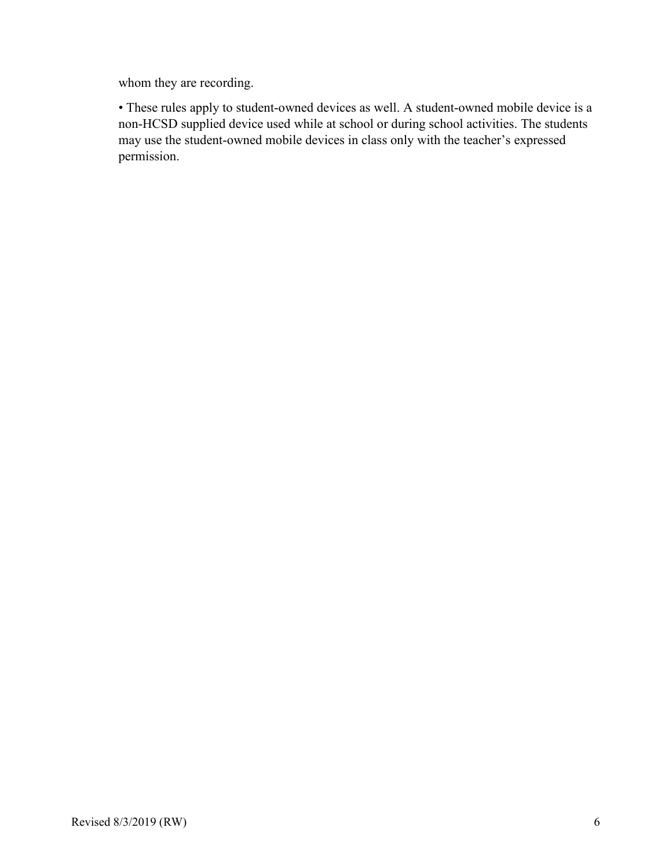whom they are recording.

• These rules apply to student-owned devices as well. A student-owned mobile device is a non-HCSD supplied device used while at school or during school activities. The students may use the student-owned mobile devices in class only with the teacher's expressed permission.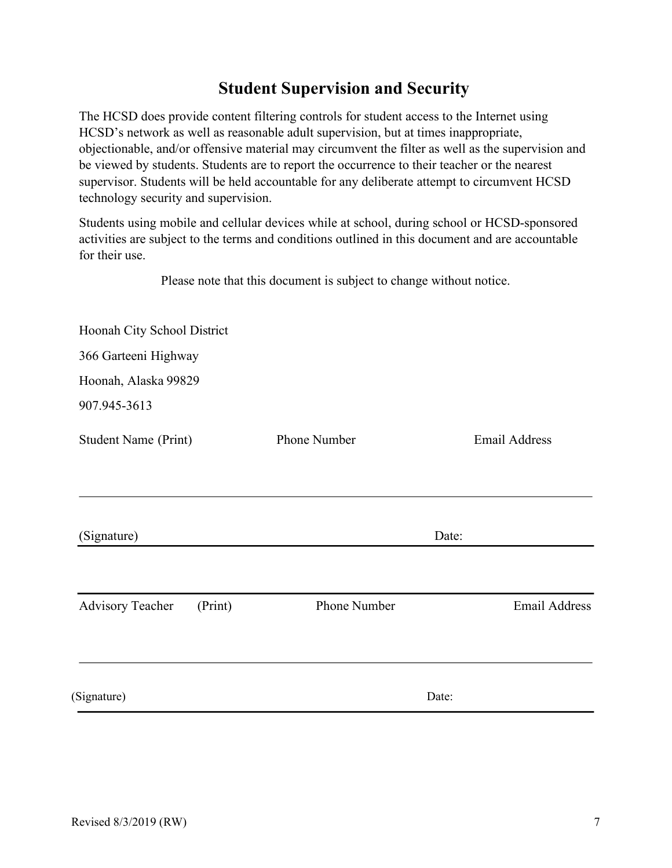# **Student Supervision and Security**

The HCSD does provide content filtering controls for student access to the Internet using HCSD's network as well as reasonable adult supervision, but at times inappropriate, objectionable, and/or offensive material may circumvent the filter as well as the supervision and be viewed by students. Students are to report the occurrence to their teacher or the nearest supervisor. Students will be held accountable for any deliberate attempt to circumvent HCSD technology security and supervision.

Students using mobile and cellular devices while at school, during school or HCSD-sponsored activities are subject to the terms and conditions outlined in this document and are accountable for their use.

Please note that this document is subject to change without notice.

| <b>Email Address</b> |
|----------------------|
|                      |
|                      |
| <b>Email Address</b> |
|                      |
|                      |